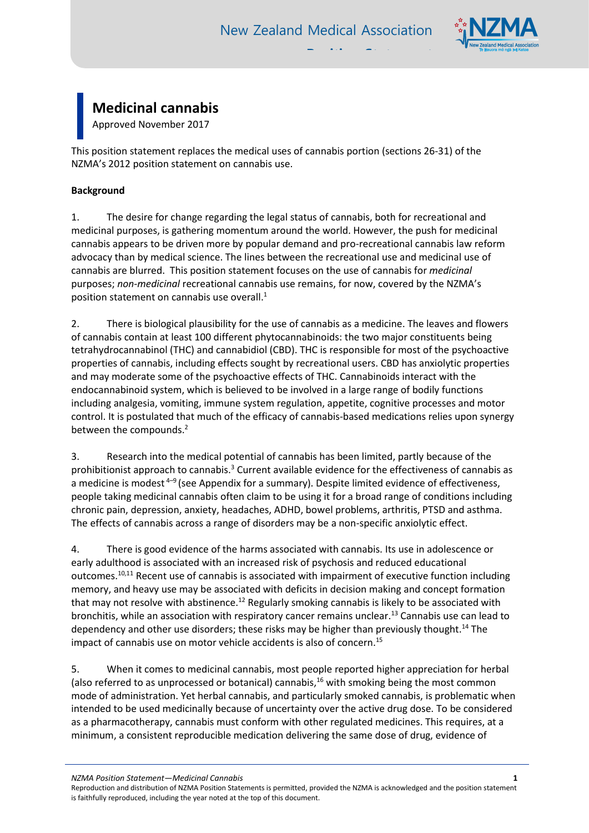

# **Medicinal cannabis**

Approved November 2017

This position statement replaces the medical uses of cannabis portion (sections 26-31) of the NZMA's 2012 position statement on cannabis use.

## **Background**

1. The desire for change regarding the legal status of cannabis, both for recreational and medicinal purposes, is gathering momentum around the world. However, the push for medicinal cannabis appears to be driven more by popular demand and pro-recreational cannabis law reform advocacy than by medical science. The lines between the recreational use and medicinal use of cannabis are blurred. This position statement focuses on the use of cannabis for *medicinal* purposes; *non-medicinal* recreational cannabis use remains, for now, covered by the NZMA's position statement on cannabis use overall. 1

2. There is biological plausibility for the use of cannabis as a medicine. The leaves and flowers of cannabis contain at least 100 different phytocannabinoids: the two major constituents being tetrahydrocannabinol (THC) and cannabidiol (CBD). THC is responsible for most of the psychoactive properties of cannabis, including effects sought by recreational users. CBD has anxiolytic properties and may moderate some of the psychoactive effects of THC. Cannabinoids interact with the endocannabinoid system, which is believed to be involved in a large range of bodily functions including analgesia, vomiting, immune system regulation, appetite, cognitive processes and motor control. It is postulated that much of the efficacy of cannabis-based medications relies upon synergy between the compounds.<sup>2</sup>

3. Research into the medical potential of cannabis has been limited, partly because of the prohibitionist approach to cannabis.<sup>3</sup> Current available evidence for the effectiveness of cannabis as a medicine is modest  $4-9$  (see Appendix for a summary). Despite limited evidence of effectiveness, people taking medicinal cannabis often claim to be using it for a broad range of conditions including chronic pain, depression, anxiety, headaches, ADHD, bowel problems, arthritis, PTSD and asthma. The effects of cannabis across a range of disorders may be a non-specific anxiolytic effect.

4. There is good evidence of the harms associated with cannabis. Its use in adolescence or early adulthood is associated with an increased risk of psychosis and reduced educational outcomes.<sup>10,11</sup> Recent use of cannabis is associated with impairment of executive function including memory, and heavy use may be associated with deficits in decision making and concept formation that may not resolve with abstinence.<sup>12</sup> Regularly smoking cannabis is likely to be associated with bronchitis, while an association with respiratory cancer remains unclear. <sup>13</sup> Cannabis use can lead to dependency and other use disorders; these risks may be higher than previously thought.<sup>14</sup> The impact of cannabis use on motor vehicle accidents is also of concern.<sup>15</sup>

5. When it comes to medicinal cannabis, most people reported higher appreciation for herbal (also referred to as unprocessed or botanical) cannabis, $16$  with smoking being the most common mode of administration. Yet herbal cannabis, and particularly smoked cannabis, is problematic when intended to be used medicinally because of uncertainty over the active drug dose. To be considered as a pharmacotherapy, cannabis must conform with other regulated medicines. This requires, at a minimum, a consistent reproducible medication delivering the same dose of drug, evidence of

*NZMA Position Statement—Medicinal Cannabis* **1**

Reproduction and distribution of NZMA Position Statements is permitted, provided the NZMA is acknowledged and the position statement is faithfully reproduced, including the year noted at the top of this document.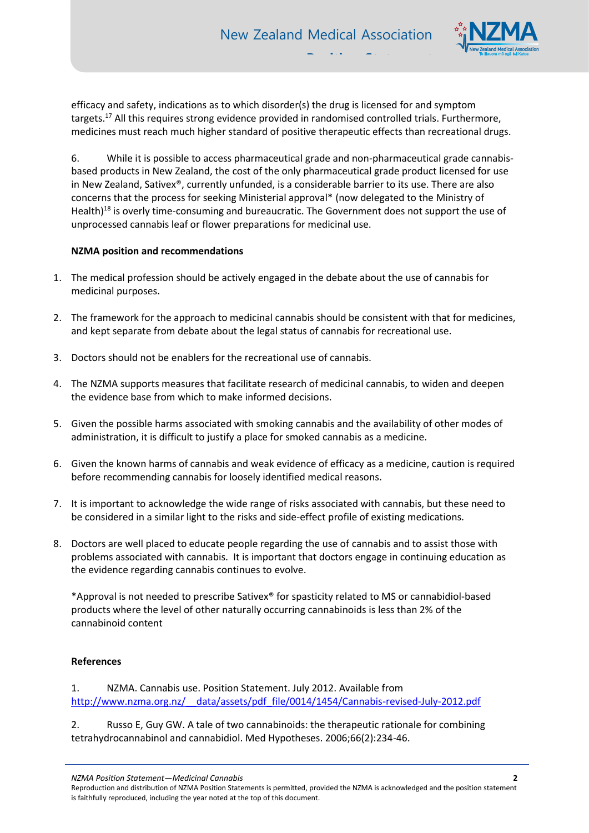

efficacy and safety, indications as to which disorder(s) the drug is licensed for and symptom targets. <sup>17</sup> All this requires strong evidence provided in randomised controlled trials. Furthermore, medicines must reach much higher standard of positive therapeutic effects than recreational drugs.

6. While it is possible to access pharmaceutical grade and non-pharmaceutical grade cannabisbased products in New Zealand, the cost of the only pharmaceutical grade product licensed for use in New Zealand, Sativex®, currently unfunded, is a considerable barrier to its use. There are also concerns that the process for seeking Ministerial approval\* (now delegated to the Ministry of Health)<sup>18</sup> is overly time-consuming and bureaucratic. The Government does not support the use of unprocessed cannabis leaf or flower preparations for medicinal use.

### **NZMA position and recommendations**

- 1. The medical profession should be actively engaged in the debate about the use of cannabis for medicinal purposes.
- 2. The framework for the approach to medicinal cannabis should be consistent with that for medicines, and kept separate from debate about the legal status of cannabis for recreational use.
- 3. Doctors should not be enablers for the recreational use of cannabis.
- 4. The NZMA supports measures that facilitate research of medicinal cannabis, to widen and deepen the evidence base from which to make informed decisions.
- 5. Given the possible harms associated with smoking cannabis and the availability of other modes of administration, it is difficult to justify a place for smoked cannabis as a medicine.
- 6. Given the known harms of cannabis and weak evidence of efficacy as a medicine, caution is required before recommending cannabis for loosely identified medical reasons.
- 7. It is important to acknowledge the wide range of risks associated with cannabis, but these need to be considered in a similar light to the risks and side-effect profile of existing medications.
- 8. Doctors are well placed to educate people regarding the use of cannabis and to assist those with problems associated with cannabis. It is important that doctors engage in continuing education as the evidence regarding cannabis continues to evolve.

\*Approval is not needed to prescribe Sativex® for spasticity related to MS or cannabidiol-based products where the level of other naturally occurring cannabinoids is less than 2% of the cannabinoid content

#### **References**

1. NZMA. Cannabis use. Position Statement. July 2012. Available from [http://www.nzma.org.nz/\\_\\_data/assets/pdf\\_file/0014/1454/Cannabis-revised-July-2012.pdf](http://www.nzma.org.nz/__data/assets/pdf_file/0014/1454/Cannabis-revised-July-2012.pdf)

2. Russo E, Guy GW. A tale of two cannabinoids: the therapeutic rationale for combining tetrahydrocannabinol and cannabidiol. Med Hypotheses. 2006;66(2):234-46.

*NZMA Position Statement—Medicinal Cannabis* **2**

Reproduction and distribution of NZMA Position Statements is permitted, provided the NZMA is acknowledged and the position statement is faithfully reproduced, including the year noted at the top of this document.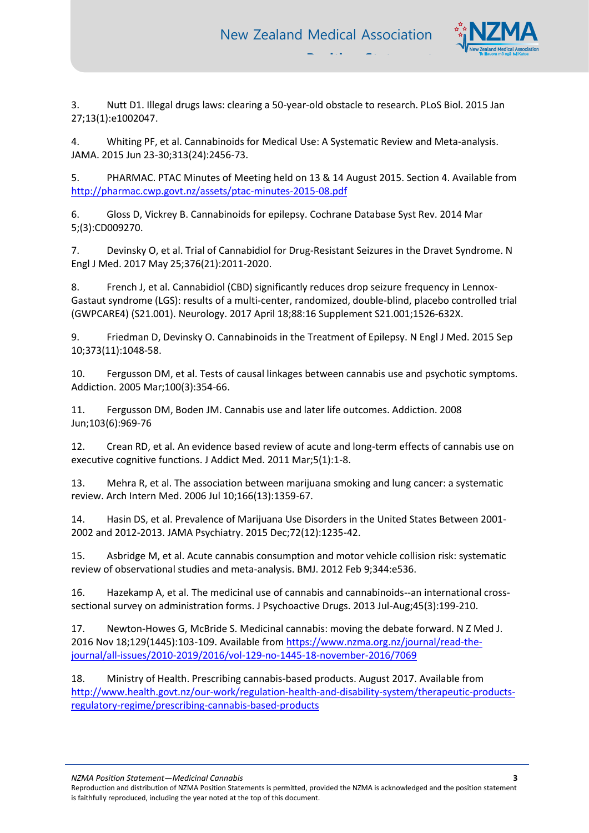

3. Nutt D1. Illegal drugs laws: clearing a 50-year-old obstacle to research. PLoS Biol. 2015 Jan 27;13(1):e1002047.

4. Whiting PF, et al. Cannabinoids for Medical Use: A Systematic Review and Meta-analysis. JAMA. 2015 Jun 23-30;313(24):2456-73.

5. PHARMAC. PTAC Minutes of Meeting held on 13 & 14 August 2015. Section 4. Available from <http://pharmac.cwp.govt.nz/assets/ptac-minutes-2015-08.pdf>

6. Gloss D, Vickrey B. Cannabinoids for epilepsy. Cochrane Database Syst Rev. 2014 Mar 5;(3):CD009270.

7. Devinsky O, et al. Trial of Cannabidiol for Drug-Resistant Seizures in the Dravet Syndrome. N Engl J Med. 2017 May 25;376(21):2011-2020.

8. French J, et al. Cannabidiol (CBD) significantly reduces drop seizure frequency in Lennox-Gastaut syndrome (LGS): results of a multi-center, randomized, double-blind, placebo controlled trial (GWPCARE4) (S21.001). Neurology. 2017 April 18;88:16 Supplement S21.001;1526-632X.

9. Friedman D, Devinsky O. Cannabinoids in the Treatment of Epilepsy. N Engl J Med. 2015 Sep 10;373(11):1048-58.

10. Fergusson DM, et al. Tests of causal linkages between cannabis use and psychotic symptoms. Addiction. 2005 Mar;100(3):354-66.

11. Fergusson DM, Boden JM. Cannabis use and later life outcomes. Addiction. 2008 Jun;103(6):969-76

12. Crean RD, et al. An evidence based review of acute and long-term effects of cannabis use on executive cognitive functions. J Addict Med. 2011 Mar;5(1):1-8.

13. Mehra R, et al. The association between marijuana smoking and lung cancer: a systematic review. Arch Intern Med. 2006 Jul 10;166(13):1359-67.

14. Hasin DS, et al. Prevalence of Marijuana Use Disorders in the United States Between 2001- 2002 and 2012-2013. JAMA Psychiatry. 2015 Dec;72(12):1235-42.

15. Asbridge M, et al. Acute cannabis consumption and motor vehicle collision risk: systematic review of observational studies and meta-analysis. BMJ. 2012 Feb 9;344:e536.

16. Hazekamp A, et al. The medicinal use of cannabis and cannabinoids--an international crosssectional survey on administration forms. J Psychoactive Drugs. 2013 Jul-Aug;45(3):199-210.

17. Newton-Howes G, McBride S. Medicinal cannabis: moving the debate forward. N Z Med J. 2016 Nov 18;129(1445):103-109. Available fro[m https://www.nzma.org.nz/journal/read-the](https://www.nzma.org.nz/journal/read-the-journal/all-issues/2010-2019/2016/vol-129-no-1445-18-november-2016/7069)[journal/all-issues/2010-2019/2016/vol-129-no-1445-18-november-2016/7069](https://www.nzma.org.nz/journal/read-the-journal/all-issues/2010-2019/2016/vol-129-no-1445-18-november-2016/7069)

18. Ministry of Health. Prescribing cannabis-based products. August 2017. Available from [http://www.health.govt.nz/our-work/regulation-health-and-disability-system/therapeutic-products](http://www.health.govt.nz/our-work/regulation-health-and-disability-system/therapeutic-products-regulatory-regime/prescribing-cannabis-based-products)[regulatory-regime/prescribing-cannabis-based-products](http://www.health.govt.nz/our-work/regulation-health-and-disability-system/therapeutic-products-regulatory-regime/prescribing-cannabis-based-products)

*NZMA Position Statement—Medicinal Cannabis* **3**

Reproduction and distribution of NZMA Position Statements is permitted, provided the NZMA is acknowledged and the position statement is faithfully reproduced, including the year noted at the top of this document.